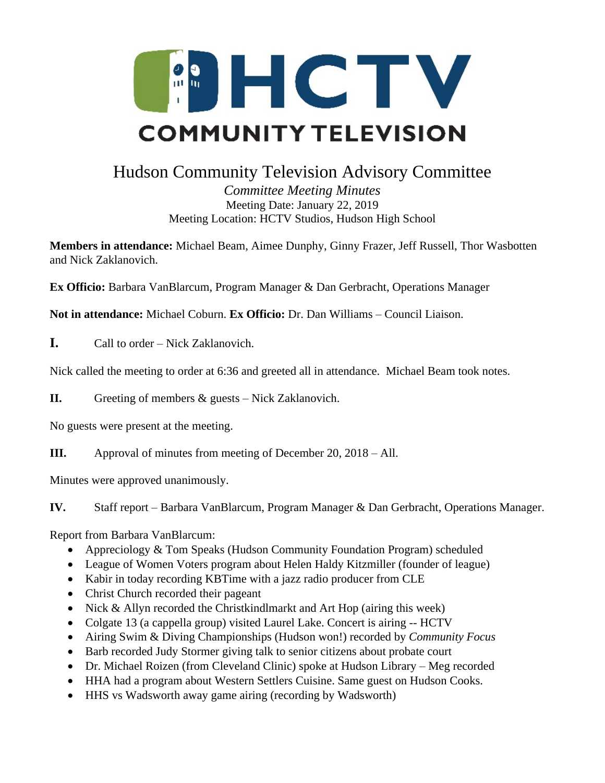

## Hudson Community Television Advisory Committee

*Committee Meeting Minutes* Meeting Date: January 22, 2019 Meeting Location: HCTV Studios, Hudson High School

**Members in attendance:** Michael Beam, Aimee Dunphy, Ginny Frazer, Jeff Russell, Thor Wasbotten and Nick Zaklanovich.

**Ex Officio:** Barbara VanBlarcum, Program Manager & Dan Gerbracht, Operations Manager

**Not in attendance:** Michael Coburn. **Ex Officio:** Dr. Dan Williams – Council Liaison.

**I.** Call to order – Nick Zaklanovich.

Nick called the meeting to order at 6:36 and greeted all in attendance. Michael Beam took notes.

**II.** Greeting of members & guests – Nick Zaklanovich.

No guests were present at the meeting.

**III.** Approval of minutes from meeting of December 20, 2018 – All.

Minutes were approved unanimously.

**IV.** Staff report – Barbara VanBlarcum, Program Manager & Dan Gerbracht, Operations Manager.

Report from Barbara VanBlarcum:

- Appreciology & Tom Speaks (Hudson Community Foundation Program) scheduled
- League of Women Voters program about Helen Haldy Kitzmiller (founder of league)
- Kabir in today recording KBTime with a jazz radio producer from CLE
- Christ Church recorded their pageant
- Nick & Allyn recorded the Christkindlmarkt and Art Hop (airing this week)
- Colgate 13 (a cappella group) visited Laurel Lake. Concert is airing -- HCTV
- Airing Swim & Diving Championships (Hudson won!) recorded by *Community Focus*
- Barb recorded Judy Stormer giving talk to senior citizens about probate court
- Dr. Michael Roizen (from Cleveland Clinic) spoke at Hudson Library Meg recorded
- HHA had a program about Western Settlers Cuisine. Same guest on Hudson Cooks.
- HHS vs Wadsworth away game airing (recording by Wadsworth)